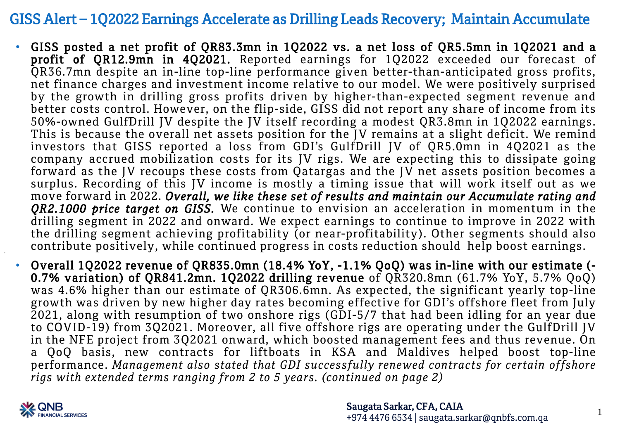### GISS Alert – 1Q2022 Earnings Accelerate as Drilling Leads Recovery; Maintain Accumulate

- GISS posted a net profit of QR83.3mn in 1Q2022 vs. a net loss of QR5.5mn in 1Q2021 and a profit of QR12.9mn in 4Q2021. Reported earnings for 1Q2022 exceeded our forecast of QR36.7mn despite an in-line top-line performance given better-than-anticipated gross profits, net finance charges and investment income relative to our model. We were positively surprised by the growth in drilling gross profits driven by higher-than-expected segment revenue and better costs control. However, on the flip-side, GISS did not report any share of income from its 50%-owned GulfDrill JV despite the JV itself recording a modest QR3.8mn in 1Q2022 earnings. This is because the overall net assets position for the JV remains at a slight deficit. We remind investors that GISS reported a loss from GDI's GulfDrill JV of QR5.0mn in 4Q2021 as the company accrued mobilization costs for its JV rigs. We are expecting this to dissipate going forward as the JV recoups these costs from Qatargas and the JV net assets position becomes a surplus. Recording of this JV income is mostly a timing issue that will work itself out as we move forward in 2022. *Overall, we like these set of results and maintain our Accumulate rating and QR2.1000 price target on GISS.* We continue to envision an acceleration in momentum in the drilling segment in 2022 and onward. We expect earnings to continue to improve in 2022 with the drilling segment achieving profitability (or near-profitability). Other segments should also contribute positively, while continued progress in costs reduction should help boost earnings.
- Overall 1Q2022 revenue of QR835.0mn (18.4% YoY, -1.1% QoQ) was in-line with our estimate (- 0.7% variation) of QR841.2mn. 1Q2022 drilling revenue of QR320.8mn (61.7% YoY, 5.7% QoQ) was 4.6% higher than our estimate of QR306.6mn. As expected, the significant yearly top-line growth was driven by new higher day rates becoming effective for GDI's offshore fleet from July 2021, along with resumption of two onshore rigs (GDI-5/7 that had been idling for an year due to COVID-19) from 3Q2021. Moreover, all five offshore rigs are operating under the GulfDrill JV in the NFE project from 3Q2021 onward, which boosted management fees and thus revenue. On a QoQ basis, new contracts for liftboats in KSA and Maldives helped boost top-line performance. *Management also stated that GDI successfully renewed contracts for certain offshore rigs with extended terms ranging from 2 to 5 years. (continued on page 2)*



1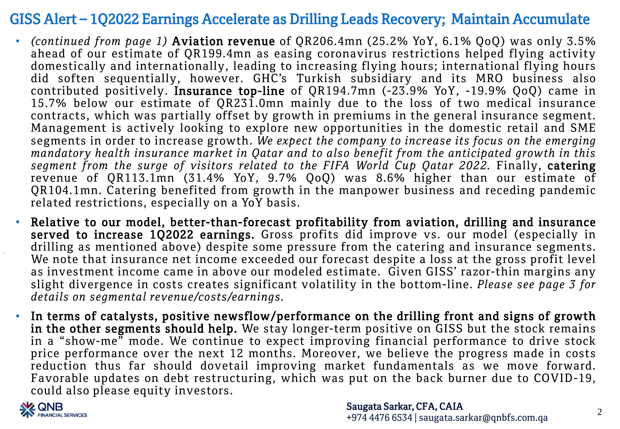## GISS Alert – 1Q2022 Earnings Accelerate as Drilling Leads Recovery; Maintain Accumulate

- *(continued from page 1)* Aviation revenue of QR206.4mn (25.2% YoY, 6.1% QoQ) was only 3.5% ahead of our estimate of QR199.4mn as easing coronavirus restrictions helped flying activity domestically and internationally, leading to increasing flying hours; international flying hours did soften sequentially, however. GHC's Turkish subsidiary and its MRO business also contributed positively. Insurance top-line of QR194.7mn (-23.9% YoY, -19.9% QoQ) came in 15.7% below our estimate of QR231.0mn mainly due to the loss of two medical insurance contracts, which was partially offset by growth in premiums in the general insurance segment. Management is actively looking to explore new opportunities in the domestic retail and SME segments in order to increase growth. *We expect the company to increase its focus on the emerging mandatory health insurance market in Qatar and to also benefit from the anticipated growth in this segment from the surge of visitors related to the FIFA World Cup Qatar 2022.* Finally, catering revenue of QR113.1mn (31.4% YoY, 9.7% QoQ) was 8.6% higher than our estimate of QR104.1mn. Catering benefited from growth in the manpower business and receding pandemic related restrictions, especially on a YoY basis.
- Relative to our model, better-than-forecast profitability from aviation, drilling and insurance served to increase 1Q2022 earnings. Gross profits did improve vs. our model (especially in drilling as mentioned above) despite some pressure from the catering and insurance segments. We note that insurance net income exceeded our forecast despite a loss at the gross profit level as investment income came in above our modeled estimate. Given GISS' razor-thin margins any slight divergence in costs creates significant volatility in the bottom-line. *Please see page 3 for details on segmental revenue/costs/earnings.*
- In terms of catalysts, positive newsflow/performance on the drilling front and signs of growth in the other segments should help. We stay longer-term positive on GISS but the stock remains in a "show-me" mode. We continue to expect improving financial performance to drive stock price performance over the next 12 months. Moreover, we believe the progress made in costs reduction thus far should dovetail improving market fundamentals as we move forward. Favorable updates on debt restructuring, which was put on the back burner due to COVID-19, could also please equity investors.

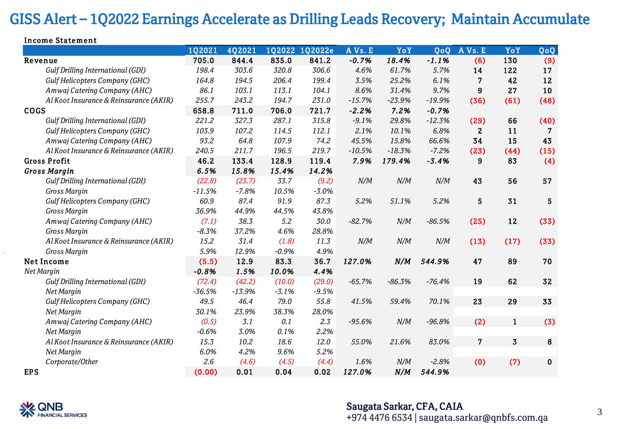# GISS Alert – 1Q2022 Earnings Accelerate as Drilling Leads Recovery; Maintain Accumulate

| Income Statement                       |          |               |               |         |          |          |          |                |                         |           |
|----------------------------------------|----------|---------------|---------------|---------|----------|----------|----------|----------------|-------------------------|-----------|
|                                        | 1Q2021   | <b>4Q2021</b> | <b>1Q2022</b> | 1Q2022e | AVs. E   | YoY      | QoQ      | AVs. E         | YoY                     | QoQ       |
| Revenue                                | 705.0    | 844.4         | 835.0         | 841.2   | $-0.7%$  | 18.4%    | $-1.1%$  | (6)            | 130                     | (9)       |
| Gulf Drilling International (GDI)      | 198.4    | 303.6         | 320.8         | 306.6   | 4.6%     | 61.7%    | 5.7%     | 14             | 122                     | 17        |
| Gulf Helicopters Company (GHC)         | 164.8    | 194.5         | 206.4         | 199.4   | 3.5%     | 25.2%    | 6.1%     | 7              | 42                      | 12        |
| Amwaj Catering Company (AHC)           | 86.1     | 103.1         | 113.1         | 104.1   | 8.6%     | 31.4%    | 9.7%     | 9              | 27                      | 10        |
| Al Koot Insurance & Reinsurance (AKIR) | 255.7    | 243.2         | 194.7         | 231.0   | $-15.7%$ | $-23.9%$ | $-19.9%$ | (36)           | (61)                    | (48)      |
| <b>COGS</b>                            | 658.8    | 711.0         | 706.0         | 721.7   | $-2.2%$  | 7.2%     | $-0.7%$  |                |                         |           |
| Gulf Drilling International (GDI)      | 221.2    | 327.3         | 287.1         | 315.8   | $-9.1%$  | 29.8%    | $-12.3%$ | (29)           | 66                      | (40)      |
| Gulf Helicopters Company (GHC)         | 103.9    | 107.2         | 114.5         | 112.1   | 2.1%     | 10.1%    | 6.8%     | $\mathbf{2}$   | 11                      | 7         |
| Amwaj Catering Company (AHC)           | 93.2     | 64.8          | 107.9         | 74.2    | 45.5%    | 15.8%    | 66.6%    | 34             | 15                      | 43        |
| Al Koot Insurance & Reinsurance (AKIR) | 240.5    | 211.7         | 196.5         | 219.7   | $-10.5%$ | $-18.3%$ | $-7.2%$  | (23)           | (44)                    | (15)      |
| <b>Gross Profit</b>                    | 46.2     | 133.4         | 128.9         | 119.4   | 7.9%     | 179.4%   | $-3.4%$  | 9              | 83                      | (4)       |
| <b>Gross Margin</b>                    | 6.5%     | 15.8%         | 15.4%         | 14.2%   |          |          |          |                |                         |           |
| Gulf Drilling International (GDI)      | (22.8)   | (23.7)        | 33.7          | (9.2)   | N/M      | N/M      | N/M      | 43             | 56                      | 57        |
| Gross Margin                           | $-11.5%$ | $-7.8%$       | 10.5%         | $-3.0%$ |          |          |          |                |                         |           |
| Gulf Helicopters Company (GHC)         | 60.9     | 87.4          | 91.9          | 87.3    | 5.2%     | 51.1%    | 5.2%     | 5              | 31                      | 5         |
| Gross Margin                           | 36.9%    | 44.9%         | 44.5%         | 43.8%   |          |          |          |                |                         |           |
| Amwaj Catering Company (AHC)           | (7.1)    | 38.3          | 5.2           | 30.0    | $-82.7%$ | N/M      | $-86.5%$ | (25)           | 12                      | (33)      |
| Gross Margin                           | $-8.3%$  | 37.2%         | 4.6%          | 28.8%   |          |          |          |                |                         |           |
| Al Koot Insurance & Reinsurance (AKIR) | 15.2     | 31.4          | (1.8)         | 11.3    | N/M      | N/M      | N/M      | (13)           | (17)                    | (33)      |
| Gross Margin                           | 5.9%     | 12.9%         | $-0.9%$       | 4.9%    |          |          |          |                |                         |           |
| Net Income                             | (5.5)    | 12.9          | 83.3          | 36.7    | 127.0%   | N/M      | 544.9%   | 47             | 89                      | 70        |
| Net Margin                             | $-0.8%$  | 1.5%          | 10.0%         | 4.4%    |          |          |          |                |                         |           |
| Gulf Drilling International (GDI)      | (72.4)   | (42.2)        | (10.0)        | (29.0)  | $-65.7%$ | $-86.3%$ | $-76.4%$ | 19             | 62                      | 32        |
| Net Margin                             | $-36.5%$ | $-13.9%$      | $-3.1%$       | $-9.5%$ |          |          |          |                |                         |           |
| Gulf Helicopters Company (GHC)         | 49.5     | 46.4          | 79.0          | 55.8    | 41.5%    | 59.4%    | 70.1%    | 23             | 29                      | 33        |
| Net Margin                             | 30.1%    | 23.9%         | 38.3%         | 28.0%   |          |          |          |                |                         |           |
| Amwaj Catering Company (AHC)           | (0.5)    | 3.1           | 0.1           | 2.3     | $-95.6%$ | N/M      | $-96.8%$ | (2)            | $\mathbf{1}$            | (3)       |
| Net Margin                             | $-0.6%$  | 3.0%          | 0.1%          | 2.2%    |          |          |          |                |                         |           |
| Al Koot Insurance & Reinsurance (AKIR) | 15.3     | 10.2          | 18.6          | 12.0    | 55.0%    | 21.6%    | 83.0%    | $\overline{7}$ | $\overline{\mathbf{3}}$ | 8         |
| Net Margin                             | 6.0%     | 4.2%          | 9.6%          | 5.2%    |          |          |          |                |                         |           |
| Corporate/Other                        | 2.6      | (4.6)         | (4.5)         | (4.4)   | 1.6%     | N/M      | $-2.8%$  | (0)            | (7)                     | $\pmb{0}$ |
| <b>EPS</b>                             | (0.00)   | 0.01          | 0.04          | 0.02    | 127.0%   | N/M      | 544.9%   |                |                         |           |



### Saugata Sarkar, CFA, CAIA +974 4476 6534 | saugata.sarkar@qnbfs.com.qa